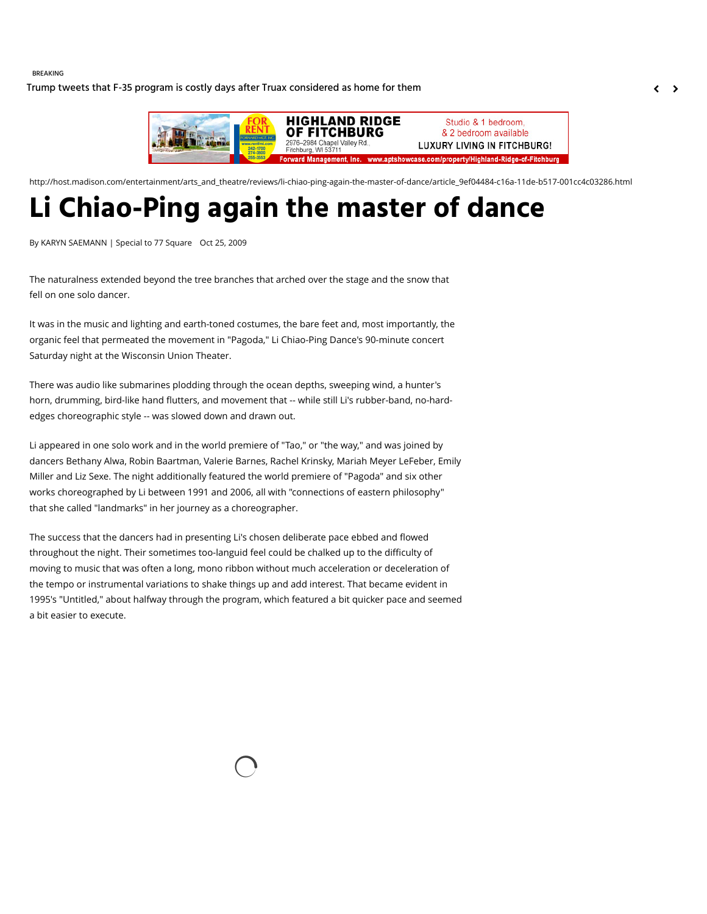#### BREAKING

[Trump tweets that F-35 program is costly days after Truax considered as home for them](http://host.madison.com/wsj/news/local/trump-tweets-that-f--program-is-costly-days-after/article_39a784b0-0e56-50d1-986d-c4819bfe2f41.html)  $\left\langle \right\rangle$ 



http://host.madison.com/entertainment/arts\_and\_theatre/reviews/li-chiao-ping-again-the-master-of-dance/article\_9ef04484-c16a-11de-b517-001cc4c03286.html

# **Li Chiao-Ping again the master of dance**

By KARYN SAEMANN | Special to 77 Square Oct 25, 2009

The naturalness extended beyond the tree branches that arched over the stage and the snow that fell on one solo dancer.

It was in the music and lighting and earth-toned costumes, the bare feet and, most importantly, the organic feel that permeated the movement in "Pagoda," Li Chiao-Ping Dance's 90-minute concert Saturday night at the Wisconsin Union Theater.

There was audio like submarines plodding through the ocean depths, sweeping wind, a hunter's horn, drumming, bird-like hand flutters, and movement that -- while still Li's rubber-band, no-hardedges choreographic style -- was slowed down and drawn out.

Li appeared in one solo work and in the world premiere of "Tao," or "the way," and was joined by dancers Bethany Alwa, Robin Baartman, Valerie Barnes, Rachel Krinsky, Mariah Meyer LeFeber, Emily Miller and Liz Sexe. The night additionally featured the world premiere of "Pagoda" and six other works choreographed by Li between 1991 and 2006, all with "connections of eastern philosophy" that she called "landmarks" in her journey as a choreographer.

The success that the dancers had in presenting Li's chosen deliberate pace ebbed and flowed throughout the night. Their sometimes too-languid feel could be chalked up to the difficulty of moving to music that was often a long, mono ribbon without much acceleration or deceleration of the tempo or instrumental variations to shake things up and add interest. That became evident in 1995's "Untitled," about halfway through the program, which featured a bit quicker pace and seemed a bit easier to execute.

 $\bigcirc$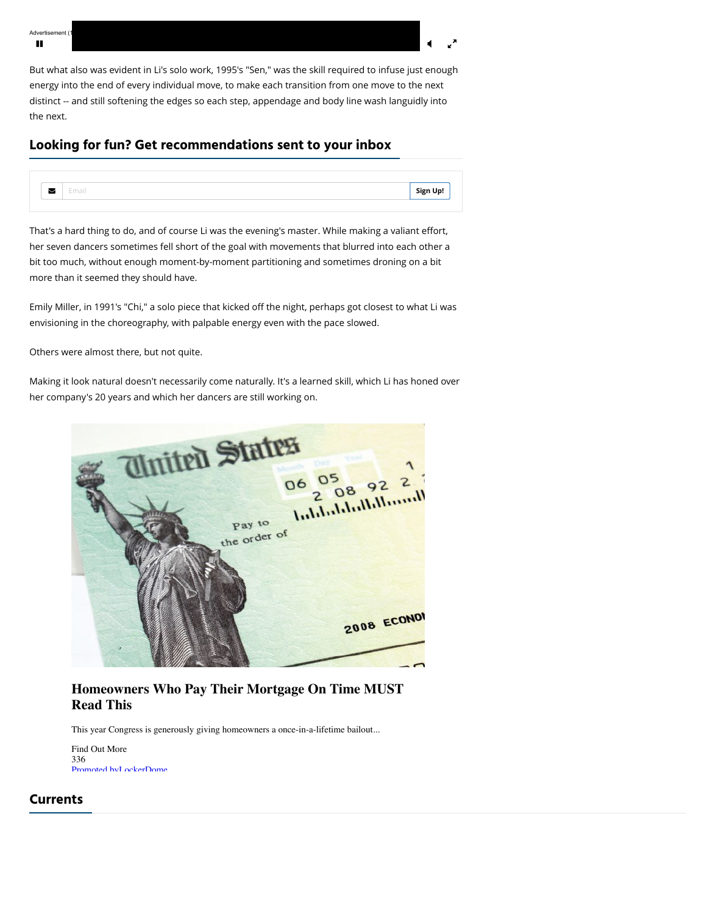Advertisement (1  $\mathbf{H}$  and  $\mathbf{H}$  are the contract of the contract of the contract of the contract of the contract of the contract of the contract of the contract of the contract of the contract of the contract of the contract of the

But what also was evident in Li's solo work, 1995's "Sen," was the skill required to infuse just enough energy into the end of every individual move, to make each transition from one move to the next distinct -- and still softening the edges so each step, appendage and body line wash languidly into the next.

### **Looking for fun? Get recommendations sent to your inbox**



That's a hard thing to do, and of course Li was the evening's master. While making a valiant effort, her seven dancers sometimes fell short of the goal with movements that blurred into each other a bit too much, without enough moment-by-moment partitioning and sometimes droning on a bit more than it seemed they should have.

Emily Miller, in 1991's "Chi," a solo piece that kicked off the night, perhaps got closest to what Li was envisioning in the choreography, with palpable energy even with the pace slowed.

Others were almost there, but not quite.

Making it look natural doesn't necessarily come naturally. It's a learned skill, which Li has honed over her company's 20 years and which her dancers are still working on.



## **Homeowners Who Pay Their Mortgage On Time MUST Read This**

This year Congress is generously giving homeowners a once-in-a-lifetime bailout...

Find Out More 336 [Promoted by](http://lockerdome.com/engaging-content) [LockerDome](http://lockerdome.com/)

#### **Currents**